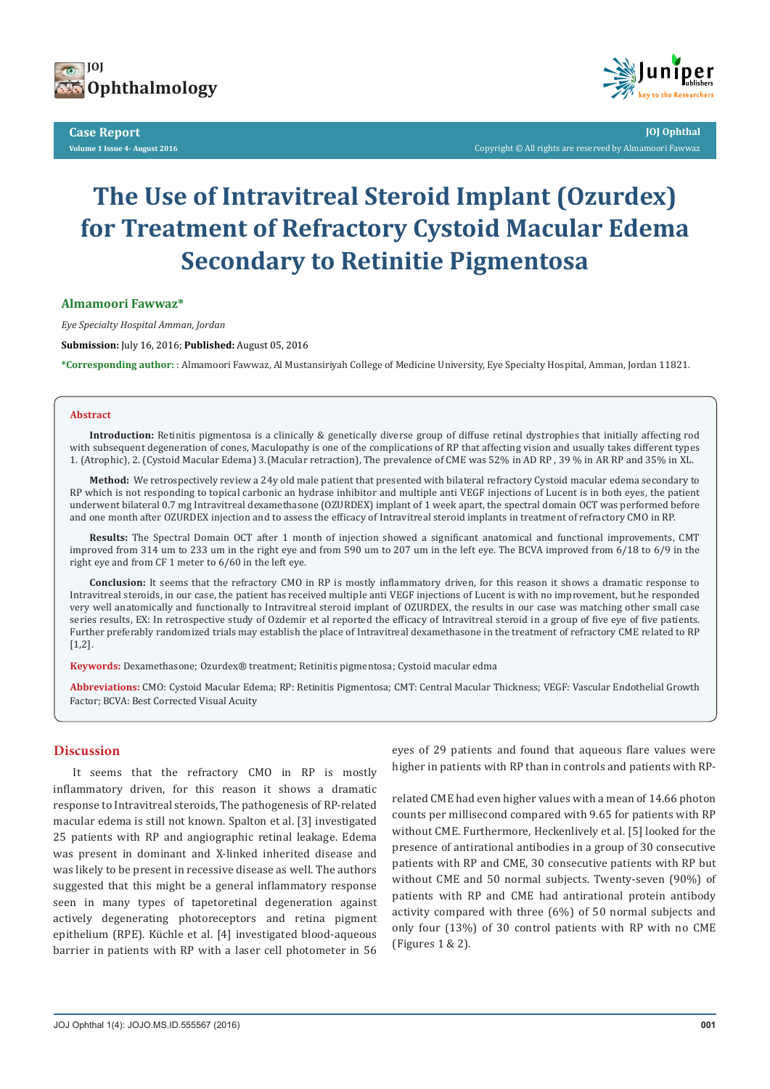

**Case Report Volume 1 Issue 4- August 2016**



**JOJ Ophthal** Copyright © All rights are reserved by Almamoori Fawwaz

# **The Use of Intravitreal Steroid Implant (Ozurdex) for Treatment of Refractory Cystoid Macular Edema Secondary to Retinitie Pigmentosa**

**Almamoori Fawwaz\***

*Eye Specialty Hospital Amman, Jordan*

**Submission:** July 16, 2016; **Published:** August 05, 2016

**\*Corresponding author:** : Almamoori Fawwaz, Al Mustansiriyah College of Medicine University, Eye Specialty Hospital, Amman, Jordan 11821.

#### **Abstract**

**Introduction:** Retinitis pigmentosa is a clinically & genetically diverse group of diffuse retinal dystrophies that initially affecting rod with subsequent degeneration of cones, Maculopathy is one of the complications of RP that affecting vision and usually takes different types 1. (Atrophic), 2. (Cystoid Macular Edema) 3.(Macular retraction), The prevalence of CME was 52% in AD RP , 39 % in AR RP and 35% in XL.

**Method:** We retrospectively review a 24y old male patient that presented with bilateral refractory Cystoid macular edema secondary to RP which is not responding to topical carbonic an hydrase inhibitor and multiple anti VEGF injections of Lucent is in both eyes, the patient underwent bilateral 0.7 mg Intravitreal dexamethasone (OZURDEX) implant of 1 week apart, the spectral domain OCT was performed before and one month after OZURDEX injection and to assess the efficacy of Intravitreal steroid implants in treatment of refractory CMO in RP.

**Results:** The Spectral Domain OCT after 1 month of injection showed a significant anatomical and functional improvements, CMT improved from 314 um to 233 um in the right eye and from 590 um to 207 um in the left eye. The BCVA improved from 6/18 to 6/9 in the right eye and from CF 1 meter to 6/60 in the left eye.

**Conclusion:** It seems that the refractory CMO in RP is mostly inflammatory driven, for this reason it shows a dramatic response to Intravitreal steroids, in our case, the patient has received multiple anti VEGF injections of Lucent is with no improvement, but he responded very well anatomically and functionally to Intravitreal steroid implant of OZURDEX, the results in our case was matching other small case series results, EX: In retrospective study of Ozdemir et al reported the efficacy of Intravitreal steroid in a group of five eye of five patients. Further preferably randomized trials may establish the place of Intravitreal dexamethasone in the treatment of refractory CME related to RP  $[1,2]$ .

**Keywords:** Dexamethasone; Ozurdex® treatment; Retinitis pigmentosa; Cystoid macular edma

**Abbreviations:** CMO: Cystoid Macular Edema; RP: Retinitis Pigmentosa; CMT: Central Macular Thickness; VEGF: Vascular Endothelial Growth Factor; BCVA: Best Corrected Visual Acuity

### **Discussion**

It seems that the refractory CMO in RP is mostly inflammatory driven, for this reason it shows a dramatic response to Intravitreal steroids, The pathogenesis of RP-related macular edema is still not known. Spalton et al. [3] investigated 25 patients with RP and angiographic retinal leakage. Edema was present in dominant and X-linked inherited disease and was likely to be present in recessive disease as well. The authors suggested that this might be a general inflammatory response seen in many types of tapetoretinal degeneration against actively degenerating photoreceptors and retina pigment epithelium (RPE). Küchle et al. [4] investigated blood-aqueous barrier in patients with RP with a laser cell photometer in 56

eyes of 29 patients and found that aqueous flare values were higher in patients with RP than in controls and patients with RP-

related CME had even higher values with a mean of 14.66 photon counts per millisecond compared with 9.65 for patients with RP without CME. Furthermore, Heckenlively et al. [5] looked for the presence of antirational antibodies in a group of 30 consecutive patients with RP and CME, 30 consecutive patients with RP but without CME and 50 normal subjects. Twenty-seven (90%) of patients with RP and CME had antirational protein antibody activity compared with three (6%) of 50 normal subjects and only four (13%) of 30 control patients with RP with no CME (Figures 1 & 2).